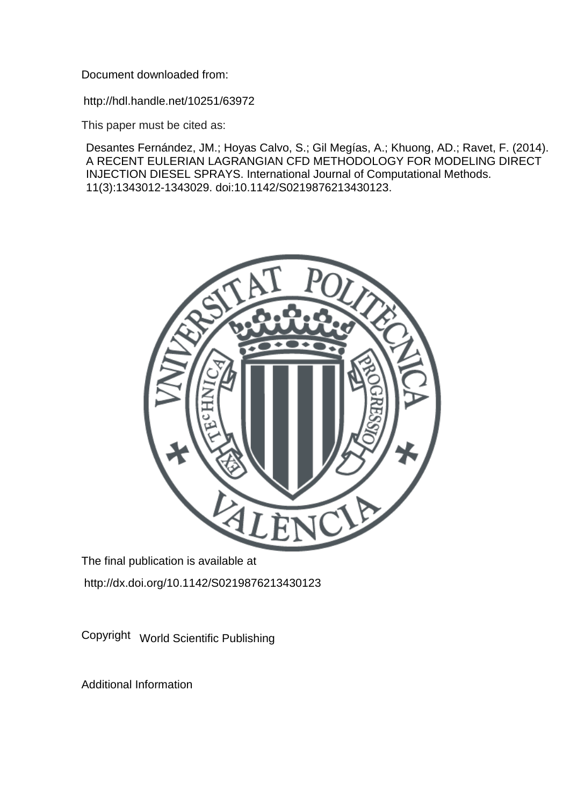Document downloaded from:

http://hdl.handle.net/10251/63972

This paper must be cited as:

Desantes Fernández, JM.; Hoyas Calvo, S.; Gil Megías, A.; Khuong, AD.; Ravet, F. (2014). A RECENT EULERIAN LAGRANGIAN CFD METHODOLOGY FOR MODELING DIRECT INJECTION DIESEL SPRAYS. International Journal of Computational Methods. 11(3):1343012-1343029. doi:10.1142/S0219876213430123.



The final publication is available at http://dx.doi.org/10.1142/S0219876213430123

Copyright World Scientific Publishing

Additional Information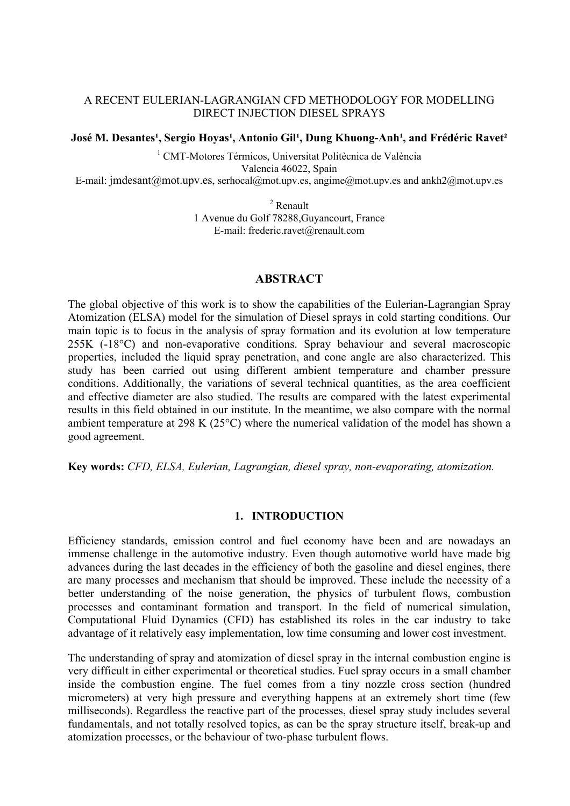## A RECENT EULERIAN-LAGRANGIAN CFD METHODOLOGY FOR MODELLING DIRECT INJECTION DIESEL SPRAYS

### José M. Desantes<sup>1</sup>, Sergio Hoyas<sup>1</sup>, Antonio Gil<sup>1</sup>, Dung Khuong-Anh<sup>1</sup>, and Frédéric Ravet<sup>2</sup>

<sup>1</sup> CMT-Motores Térmicos, Universitat Politècnica de València Valencia 46022, Spain E-mail: jmdesant@mot.upv.es, serhocal@mot.upv.es, angime@mot.upv.es and ankh2@mot.upv.es

2 Renault

1 Avenue du Golf 78288,Guyancourt, France E-mail: frederic.ravet@renault.com

## **ABSTRACT**

The global objective of this work is to show the capabilities of the Eulerian-Lagrangian Spray Atomization (ELSA) model for the simulation of Diesel sprays in cold starting conditions. Our main topic is to focus in the analysis of spray formation and its evolution at low temperature 255K (-18°C) and non-evaporative conditions. Spray behaviour and several macroscopic properties, included the liquid spray penetration, and cone angle are also characterized. This study has been carried out using different ambient temperature and chamber pressure conditions. Additionally, the variations of several technical quantities, as the area coefficient and effective diameter are also studied. The results are compared with the latest experimental results in this field obtained in our institute. In the meantime, we also compare with the normal ambient temperature at 298 K (25°C) where the numerical validation of the model has shown a good agreement.

**Key words:** *CFD, ELSA, Eulerian, Lagrangian, diesel spray, non-evaporating, atomization.* 

### **1. INTRODUCTION**

Efficiency standards, emission control and fuel economy have been and are nowadays an immense challenge in the automotive industry. Even though automotive world have made big advances during the last decades in the efficiency of both the gasoline and diesel engines, there are many processes and mechanism that should be improved. These include the necessity of a better understanding of the noise generation, the physics of turbulent flows, combustion processes and contaminant formation and transport. In the field of numerical simulation, Computational Fluid Dynamics (CFD) has established its roles in the car industry to take advantage of it relatively easy implementation, low time consuming and lower cost investment.

The understanding of spray and atomization of diesel spray in the internal combustion engine is very difficult in either experimental or theoretical studies. Fuel spray occurs in a small chamber inside the combustion engine. The fuel comes from a tiny nozzle cross section (hundred micrometers) at very high pressure and everything happens at an extremely short time (few milliseconds). Regardless the reactive part of the processes, diesel spray study includes several fundamentals, and not totally resolved topics, as can be the spray structure itself, break-up and atomization processes, or the behaviour of two-phase turbulent flows.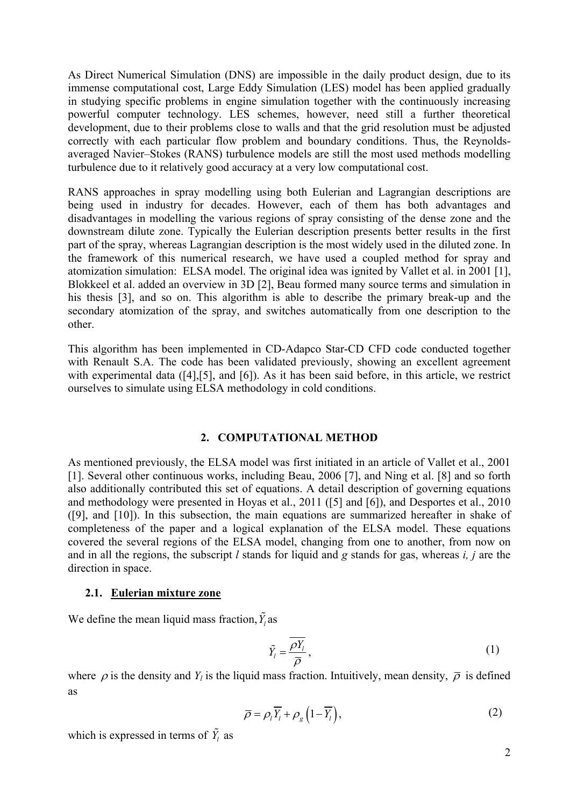As Direct Numerical Simulation (DNS) are impossible in the daily product design, due to its immense computational cost, Large Eddy Simulation (LES) model has been applied gradually in studying specific problems in engine simulation together with the continuously increasing powerful computer technology. LES schemes, however, need still a further theoretical development, due to their problems close to walls and that the grid resolution must be adjusted correctly with each particular flow problem and boundary conditions. Thus, the Reynoldsaveraged Navier–Stokes (RANS) turbulence models are still the most used methods modelling turbulence due to it relatively good accuracy at a very low computational cost.

RANS approaches in spray modelling using both Eulerian and Lagrangian descriptions are being used in industry for decades. However, each of them has both advantages and disadvantages in modelling the various regions of spray consisting of the dense zone and the downstream dilute zone. Typically the Eulerian description presents better results in the first part of the spray, whereas Lagrangian description is the most widely used in the diluted zone. In the framework of this numerical research, we have used a coupled method for spray and atomization simulation: ELSA model. The original idea was ignited by Vallet et al. in 2001 [1], Blokkeel et al. added an overview in 3D [2], Beau formed many source terms and simulation in his thesis [3], and so on. This algorithm is able to describe the primary break-up and the secondary atomization of the spray, and switches automatically from one description to the other.

This algorithm has been implemented in CD-Adapco Star-CD CFD code conducted together with Renault S.A. The code has been validated previously, showing an excellent agreement with experimental data ([4], [5], and [6]). As it has been said before, in this article, we restrict ourselves to simulate using ELSA methodology in cold conditions.

### **2. COMPUTATIONAL METHOD**

As mentioned previously, the ELSA model was first initiated in an article of Vallet et al., 2001 [1]. Several other continuous works, including Beau, 2006 [7], and Ning et al. [8] and so forth also additionally contributed this set of equations. A detail description of governing equations and methodology were presented in Hoyas et al., 2011 ([5] and [6]), and Desportes et al., 2010 ([9], and [10]). In this subsection, the main equations are summarized hereafter in shake of completeness of the paper and a logical explanation of the ELSA model. These equations covered the several regions of the ELSA model, changing from one to another, from now on and in all the regions, the subscript *l* stands for liquid and *g* stands for gas, whereas *i, j* are the direction in space.

### **2.1. Eulerian mixture zone**

We define the mean liquid mass fraction,  $\tilde{Y}_l$  as

$$
\tilde{Y}_l = \frac{\overline{\rho Y_l}}{\overline{\rho}},\tag{1}
$$

where  $\rho$  is the density and  $Y_l$  is the liquid mass fraction. Intuitively, mean density,  $\overline{\rho}$  is defined as

$$
\overline{\rho} = \rho_l \overline{Y_l} + \rho_g \left( 1 - \overline{Y_l} \right),\tag{2}
$$

which is expressed in terms of  $\tilde{Y}_l$  as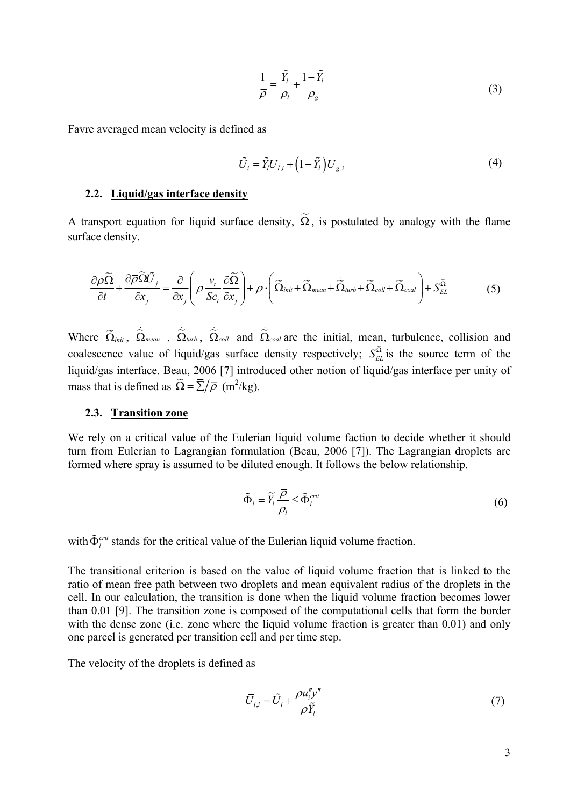$$
\frac{1}{\overline{\rho}} = \frac{\tilde{Y}_l}{\rho_l} + \frac{1 - \tilde{Y}_l}{\rho_g} \tag{3}
$$

Favre averaged mean velocity is defined as

$$
\tilde{U}_i = \tilde{Y}_i U_{l,i} + \left(1 - \tilde{Y}_l\right) U_{g,i} \tag{4}
$$

### **2.2. Liquid/gas interface density**

A transport equation for liquid surface density,  $\tilde{\Omega}$ , is postulated by analogy with the flame surface density.

$$
\frac{\partial \overline{\rho} \widetilde{\Omega}}{\partial t} + \frac{\partial \overline{\rho} \widetilde{\Omega} \widetilde{U}_j}{\partial x_j} = \frac{\partial}{\partial x_j} \left( \overline{\rho} \frac{v_t}{Sc_t} \frac{\partial \widetilde{\Omega}}{\partial x_j} \right) + \overline{\rho} \cdot \left( \widetilde{\Omega}_{init} + \widetilde{\Omega}_{mean} + \widetilde{\Omega}_{turb} + \widetilde{\Omega}_{coll} + \widetilde{\Omega}_{coal} \right) + S_{EL}^{\widetilde{\Omega}} \tag{5}
$$

Where  $\widetilde{\Omega}_{init}$ ,  $\widetilde{\Omega}_{mean}$ ,  $\widetilde{\Omega}_{turb}$ ,  $\widetilde{\Omega}_{coll}$  and  $\widetilde{\Omega}$ Ω*coal* are the initial, mean, turbulence, collision and coalescence value of liquid/gas surface density respectively;  $S_{EL}^{\tilde{\Omega}}$  is the source term of the liquid/gas interface. Beau, 2006 [7] introduced other notion of liquid/gas interface per unity of mass that is defined as  $\tilde{\Omega} = \overline{\Sigma}/\overline{\rho}$  (m<sup>2</sup>/kg).

### **2.3. Transition zone**

We rely on a critical value of the Eulerian liquid volume faction to decide whether it should turn from Eulerian to Lagrangian formulation (Beau, 2006 [7]). The Lagrangian droplets are formed where spray is assumed to be diluted enough. It follows the below relationship.

$$
\tilde{\Phi}_l = \tilde{Y}_l \frac{\bar{\rho}}{\rho_l} \le \tilde{\Phi}_l^{crit} \tag{6}
$$

with  $\tilde{\Phi}^{crit}_{i}$  stands for the critical value of the Eulerian liquid volume fraction.

The transitional criterion is based on the value of liquid volume fraction that is linked to the ratio of mean free path between two droplets and mean equivalent radius of the droplets in the cell. In our calculation, the transition is done when the liquid volume fraction becomes lower than 0.01 [9]. The transition zone is composed of the computational cells that form the border with the dense zone (i.e. zone where the liquid volume fraction is greater than 0.01) and only one parcel is generated per transition cell and per time step.

The velocity of the droplets is defined as

$$
\overline{U}_{l,i} = \tilde{U}_i + \frac{\overline{\rho u_i^{\prime\prime} y^{\prime\prime}}}{\overline{\rho} \tilde{Y}_l}
$$
\n(7)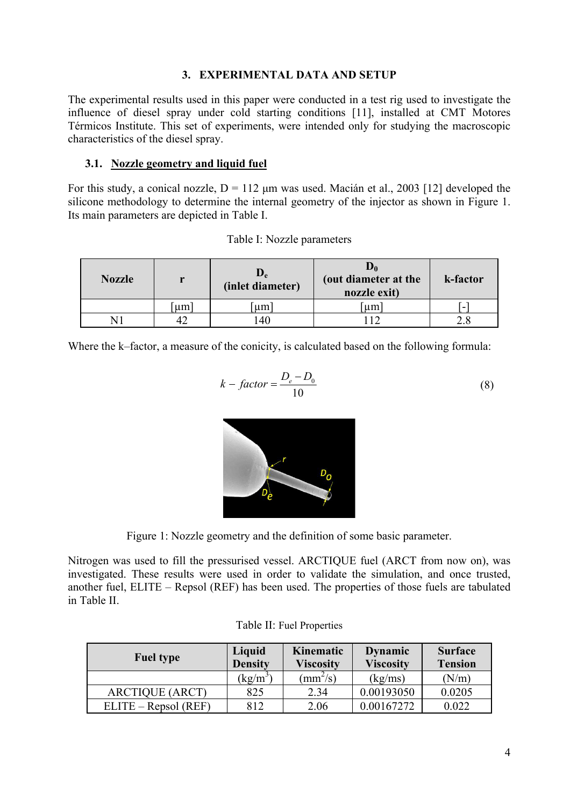# **3. EXPERIMENTAL DATA AND SETUP**

The experimental results used in this paper were conducted in a test rig used to investigate the influence of diesel spray under cold starting conditions [11], installed at CMT Motores Térmicos Institute. This set of experiments, were intended only for studying the macroscopic characteristics of the diesel spray.

## **3.1. Nozzle geometry and liquid fuel**

For this study, a conical nozzle,  $D = 112 \mu m$  was used. Macián et al., 2003 [12] developed the silicone methodology to determine the internal geometry of the injector as shown in Figure 1. Its main parameters are depicted in Table I.

| <b>Nozzle</b> | r  | $\mathbf{D_{e}}$<br>(inlet diameter) | (out diameter at the<br>nozzle exit) | k-factor |
|---------------|----|--------------------------------------|--------------------------------------|----------|
|               | um | um                                   | um                                   | -        |
|               |    | 40                                   |                                      |          |

Where the k–factor, a measure of the conicity, is calculated based on the following formula:

$$
k - factor = \frac{D_e - D_0}{10}
$$
 (8)



Figure 1: Nozzle geometry and the definition of some basic parameter.

Nitrogen was used to fill the pressurised vessel. ARCTIQUE fuel (ARCT from now on), was investigated. These results were used in order to validate the simulation, and once trusted, another fuel, ELITE – Repsol (REF) has been used. The properties of those fuels are tabulated in Table II.

| <b>Fuel type</b>       | Liquid<br><b>Density</b> | Kinematic<br><b>Viscosity</b> | <b>Dynamic</b><br><b>Viscosity</b> | <b>Surface</b><br><b>Tension</b> |
|------------------------|--------------------------|-------------------------------|------------------------------------|----------------------------------|
|                        | $\text{kg/m}^3$          | $\text{mm}^2/\text{s}$        | (kg/ms)                            | (N/m)                            |
| <b>ARCTIQUE (ARCT)</b> | 825                      | 2.34                          | 0.00193050                         | 0.0205                           |
| $ELITE - Repsol (REF)$ | 812                      | 2.06                          | 0.00167272                         | 0.022                            |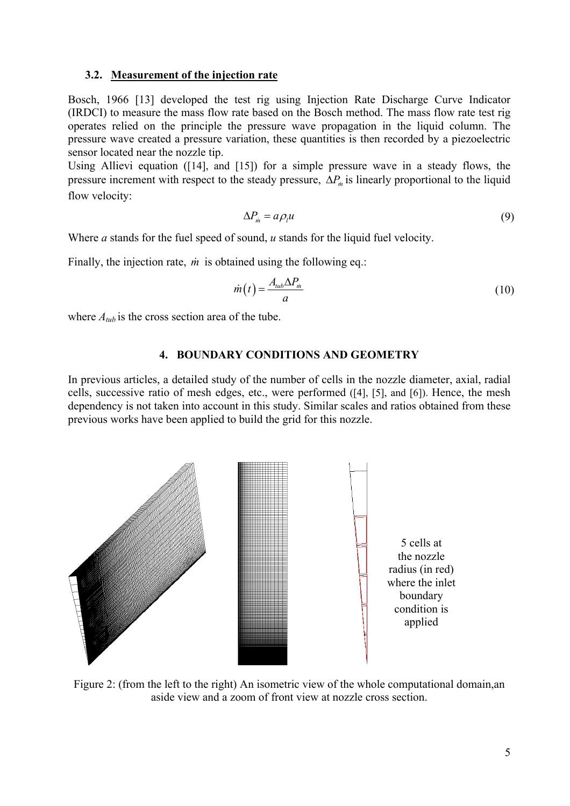### **3.2. Measurement of the injection rate**

Bosch, 1966 [13] developed the test rig using Injection Rate Discharge Curve Indicator (IRDCI) to measure the mass flow rate based on the Bosch method. The mass flow rate test rig operates relied on the principle the pressure wave propagation in the liquid column. The pressure wave created a pressure variation, these quantities is then recorded by a piezoelectric sensor located near the nozzle tip.

Using Allievi equation ([14], and [15]) for a simple pressure wave in a steady flows, the pressure increment with respect to the steady pressure,  $\Delta P_m$  is linearly proportional to the liquid flow velocity:

$$
\Delta P_{\dot{m}} = a \rho_l u \tag{9}
$$

Where *a* stands for the fuel speed of sound, *u* stands for the liquid fuel velocity.

Finally, the injection rate, *m* is obtained using the following eq.:

$$
\dot{m}(t) = \frac{A_{\mu\nu} \Delta P_{\dot{m}}}{a} \tag{10}
$$

where  $A_{tub}$  is the cross section area of the tube.

### **4. BOUNDARY CONDITIONS AND GEOMETRY**

In previous articles, a detailed study of the number of cells in the nozzle diameter, axial, radial cells, successive ratio of mesh edges, etc., were performed ([4], [5], and [6]). Hence, the mesh dependency is not taken into account in this study. Similar scales and ratios obtained from these previous works have been applied to build the grid for this nozzle.



Figure 2: (from the left to the right) An isometric view of the whole computational domain,an aside view and a zoom of front view at nozzle cross section.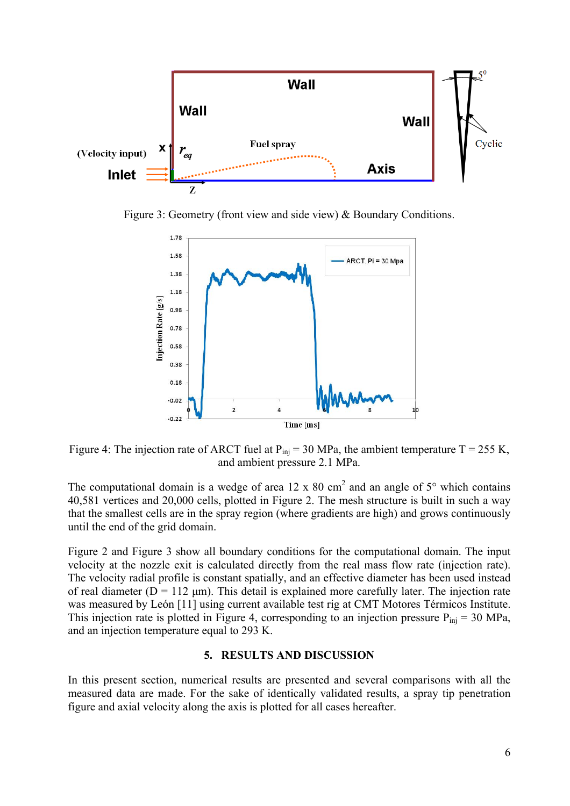

Figure 3: Geometry (front view and side view) & Boundary Conditions.



Figure 4: The injection rate of ARCT fuel at  $P_{ini} = 30$  MPa, the ambient temperature T = 255 K, and ambient pressure 2.1 MPa.

The computational domain is a wedge of area 12 x 80 cm<sup>2</sup> and an angle of  $5^{\circ}$  which contains 40,581 vertices and 20,000 cells, plotted in Figure 2. The mesh structure is built in such a way that the smallest cells are in the spray region (where gradients are high) and grows continuously until the end of the grid domain.

Figure 2 and Figure 3 show all boundary conditions for the computational domain. The input velocity at the nozzle exit is calculated directly from the real mass flow rate (injection rate). The velocity radial profile is constant spatially, and an effective diameter has been used instead of real diameter ( $D = 112 \mu m$ ). This detail is explained more carefully later. The injection rate was measured by León [11] using current available test rig at CMT Motores Térmicos Institute. This injection rate is plotted in Figure 4, corresponding to an injection pressure  $P_{ini} = 30 \text{ MPa}$ , and an injection temperature equal to 293 K.

## **5. RESULTS AND DISCUSSION**

In this present section, numerical results are presented and several comparisons with all the measured data are made. For the sake of identically validated results, a spray tip penetration figure and axial velocity along the axis is plotted for all cases hereafter.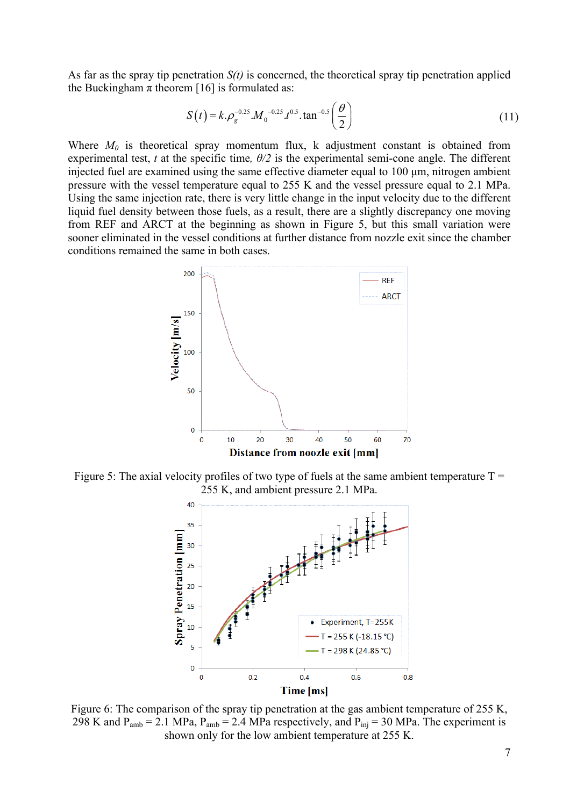As far as the spray tip penetration *S(t)* is concerned, the theoretical spray tip penetration applied the Buckingham  $\pi$  theorem [16] is formulated as:

$$
S(t) = k \cdot \rho_g^{-0.25} \cdot M_0^{-0.25} \cdot t^{0.5} \cdot \tan^{-0.5} \left(\frac{\theta}{2}\right)
$$
 (11)

Where  $M_0$  is theoretical spray momentum flux, k adjustment constant is obtained from experimental test, *t* at the specific time,  $\theta/2$  is the experimental semi-cone angle. The different injected fuel are examined using the same effective diameter equal to 100  $\mu$ m, nitrogen ambient pressure with the vessel temperature equal to 255 K and the vessel pressure equal to 2.1 MPa. Using the same injection rate, there is very little change in the input velocity due to the different liquid fuel density between those fuels, as a result, there are a slightly discrepancy one moving from REF and ARCT at the beginning as shown in Figure 5, but this small variation were sooner eliminated in the vessel conditions at further distance from nozzle exit since the chamber conditions remained the same in both cases.



Figure 5: The axial velocity profiles of two type of fuels at the same ambient temperature  $T =$ 255 K, and ambient pressure 2.1 MPa.



Figure 6: The comparison of the spray tip penetration at the gas ambient temperature of 255 K, 298 K and  $P_{amb} = 2.1 \text{ MPa}$ ,  $P_{amb} = 2.4 \text{ MPa respectively}$ , and  $P_{ini} = 30 \text{ MPa}$ . The experiment is shown only for the low ambient temperature at 255 K.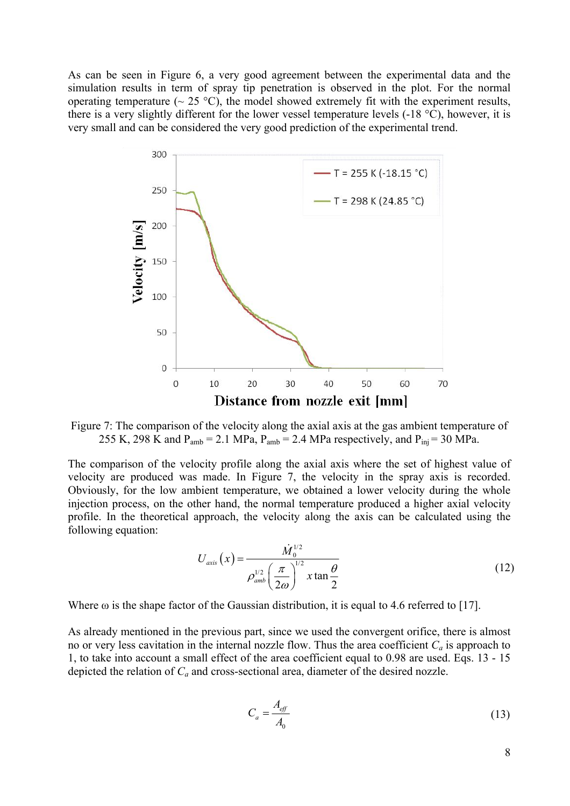As can be seen in Figure 6, a very good agreement between the experimental data and the simulation results in term of spray tip penetration is observed in the plot. For the normal operating temperature ( $\sim$  25 °C), the model showed extremely fit with the experiment results, there is a very slightly different for the lower vessel temperature levels (-18 °C), however, it is very small and can be considered the very good prediction of the experimental trend.



Figure 7: The comparison of the velocity along the axial axis at the gas ambient temperature of 255 K, 298 K and  $P_{amb} = 2.1 \text{ MPa}$ ,  $P_{amb} = 2.4 \text{ MPa respectively}$ , and  $P_{inj} = 30 \text{ MPa}$ .

The comparison of the velocity profile along the axial axis where the set of highest value of velocity are produced was made. In Figure 7, the velocity in the spray axis is recorded. Obviously, for the low ambient temperature, we obtained a lower velocity during the whole injection process, on the other hand, the normal temperature produced a higher axial velocity profile. In the theoretical approach, the velocity along the axis can be calculated using the following equation:

$$
U_{axis}\left(x\right) = \frac{\dot{M}_0^{1/2}}{\rho_{amb}^{1/2}\left(\frac{\pi}{2\omega}\right)^{1/2}x\tan\frac{\theta}{2}}\tag{12}
$$

Where  $\omega$  is the shape factor of the Gaussian distribution, it is equal to 4.6 referred to [17].

As already mentioned in the previous part, since we used the convergent orifice, there is almost no or very less cavitation in the internal nozzle flow. Thus the area coefficient  $C_a$  is approach to 1, to take into account a small effect of the area coefficient equal to 0.98 are used. Eqs. 13 - 15 depicted the relation of *Ca* and cross-sectional area, diameter of the desired nozzle.

$$
C_a = \frac{A_{\text{eff}}}{A_0} \tag{13}
$$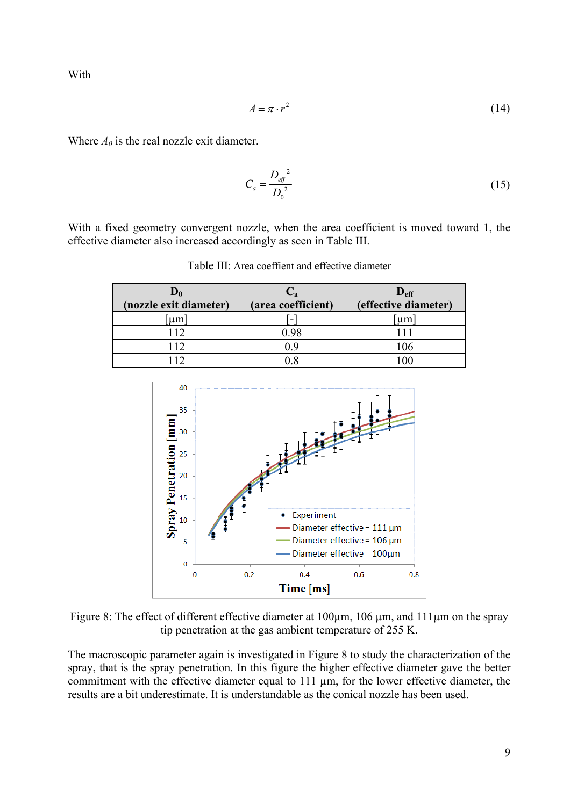With

$$
A = \pi \cdot r^2 \tag{14}
$$

Where  $A_0$  is the real nozzle exit diameter.

$$
C_a = \frac{D_{\text{eff}}^2}{D_0^2} \tag{15}
$$

With a fixed geometry convergent nozzle, when the area coefficient is moved toward 1, the effective diameter also increased accordingly as seen in Table III.

| $\mathbf{D}_0$<br>(nozzle exit diameter) | $\cup_{\mathbf{a}}$<br>(area coefficient) | $D_{\rm eff}$<br>(effective diameter) |  |
|------------------------------------------|-------------------------------------------|---------------------------------------|--|
| um                                       |                                           | um                                    |  |
| 112                                      | 0.98                                      |                                       |  |
| 112                                      | ιq                                        | 06                                    |  |
|                                          |                                           |                                       |  |

Table III: Area coeffient and effective diameter



Figure 8: The effect of different effective diameter at 100 $\mu$ m, 106  $\mu$ m, and 111 $\mu$ m on the spray tip penetration at the gas ambient temperature of 255 K.

The macroscopic parameter again is investigated in Figure 8 to study the characterization of the spray, that is the spray penetration. In this figure the higher effective diameter gave the better commitment with the effective diameter equal to  $111 \mu m$ , for the lower effective diameter, the results are a bit underestimate. It is understandable as the conical nozzle has been used.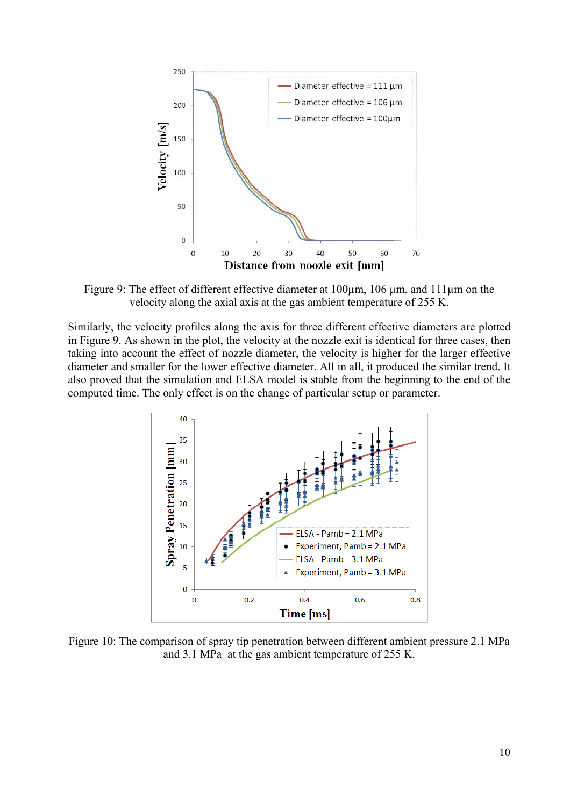

Figure 9: The effect of different effective diameter at 100 km, 106 km, and 111 km on the velocity along the axial axis at the gas ambient temperature of 255 K.

Similarly, the velocity profiles along the axis for three different effective diameters are plotted in Figure 9. As shown in the plot, the velocity at the nozzle exit is identical for three cases, then taking into account the effect of nozzle diameter, the velocity is higher for the larger effective diameter and smaller for the lower effective diameter. All in all, it produced the similar trend. It also proved that the simulation and ELSA model is stable from the beginning to the end of the computed time. The only effect is on the change of particular setup or parameter.



Figure 10: The comparison of spray tip penetration between different ambient pressure 2.1 MPa and 3.1 MPa at the gas ambient temperature of 255 K.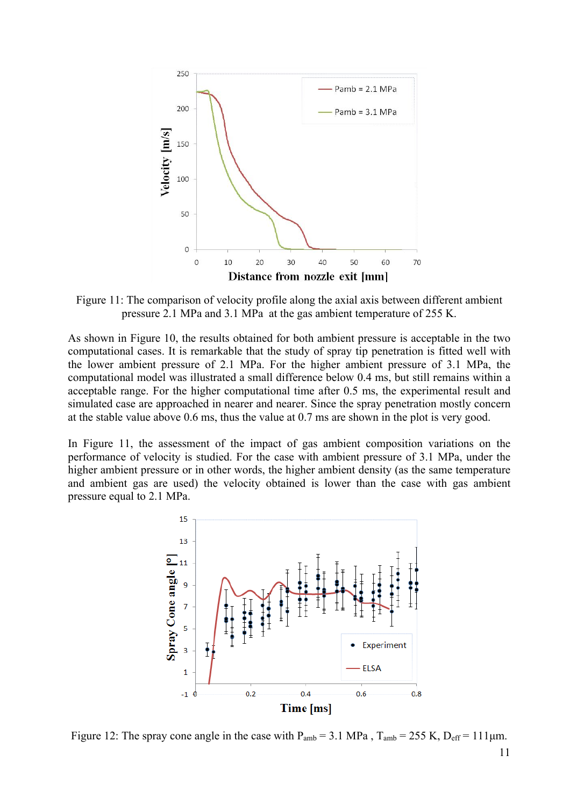

Figure 11: The comparison of velocity profile along the axial axis between different ambient pressure 2.1 MPa and 3.1 MPa at the gas ambient temperature of 255 K.

As shown in Figure 10, the results obtained for both ambient pressure is acceptable in the two computational cases. It is remarkable that the study of spray tip penetration is fitted well with the lower ambient pressure of 2.1 MPa. For the higher ambient pressure of 3.1 MPa, the computational model was illustrated a small difference below 0.4 ms, but still remains within a acceptable range. For the higher computational time after 0.5 ms, the experimental result and simulated case are approached in nearer and nearer. Since the spray penetration mostly concern at the stable value above 0.6 ms, thus the value at 0.7 ms are shown in the plot is very good.

In Figure 11, the assessment of the impact of gas ambient composition variations on the performance of velocity is studied. For the case with ambient pressure of 3.1 MPa, under the higher ambient pressure or in other words, the higher ambient density (as the same temperature and ambient gas are used) the velocity obtained is lower than the case with gas ambient pressure equal to 2.1 MPa.



Figure 12: The spray cone angle in the case with  $P_{amb} = 3.1$  MPa,  $T_{amb} = 255$  K,  $D_{eff} = 111 \mu m$ .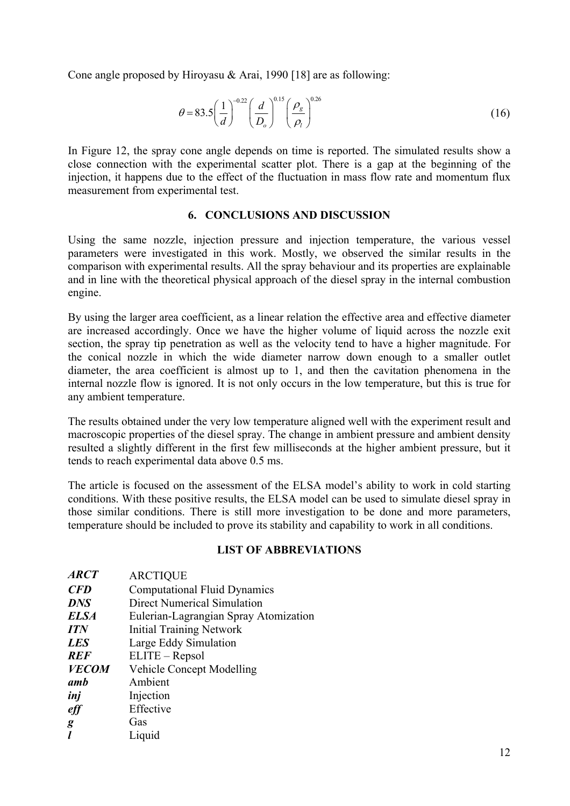Cone angle proposed by Hiroyasu & Arai, 1990 [18] are as following:

$$
\theta = 83.5 \left(\frac{1}{d}\right)^{-0.22} \left(\frac{d}{D_o}\right)^{0.15} \left(\frac{\rho_g}{\rho_l}\right)^{0.26} \tag{16}
$$

In Figure 12, the spray cone angle depends on time is reported. The simulated results show a close connection with the experimental scatter plot. There is a gap at the beginning of the injection, it happens due to the effect of the fluctuation in mass flow rate and momentum flux measurement from experimental test.

## **6. CONCLUSIONS AND DISCUSSION**

Using the same nozzle, injection pressure and injection temperature, the various vessel parameters were investigated in this work. Mostly, we observed the similar results in the comparison with experimental results. All the spray behaviour and its properties are explainable and in line with the theoretical physical approach of the diesel spray in the internal combustion engine.

By using the larger area coefficient, as a linear relation the effective area and effective diameter are increased accordingly. Once we have the higher volume of liquid across the nozzle exit section, the spray tip penetration as well as the velocity tend to have a higher magnitude. For the conical nozzle in which the wide diameter narrow down enough to a smaller outlet diameter, the area coefficient is almost up to 1, and then the cavitation phenomena in the internal nozzle flow is ignored. It is not only occurs in the low temperature, but this is true for any ambient temperature.

The results obtained under the very low temperature aligned well with the experiment result and macroscopic properties of the diesel spray. The change in ambient pressure and ambient density resulted a slightly different in the first few milliseconds at the higher ambient pressure, but it tends to reach experimental data above 0.5 ms.

The article is focused on the assessment of the ELSA model's ability to work in cold starting conditions. With these positive results, the ELSA model can be used to simulate diesel spray in those similar conditions. There is still more investigation to be done and more parameters, temperature should be included to prove its stability and capability to work in all conditions.

# **LIST OF ABBREVIATIONS**

| <b>ARCTIQUE</b>                       |
|---------------------------------------|
| <b>Computational Fluid Dynamics</b>   |
| <b>Direct Numerical Simulation</b>    |
| Eulerian-Lagrangian Spray Atomization |
| <b>Initial Training Network</b>       |
| Large Eddy Simulation                 |
| ELITE – Repsol                        |
| <b>Vehicle Concept Modelling</b>      |
| Ambient                               |
| Injection                             |
| Effective                             |
| Gas                                   |
| Liquid                                |
|                                       |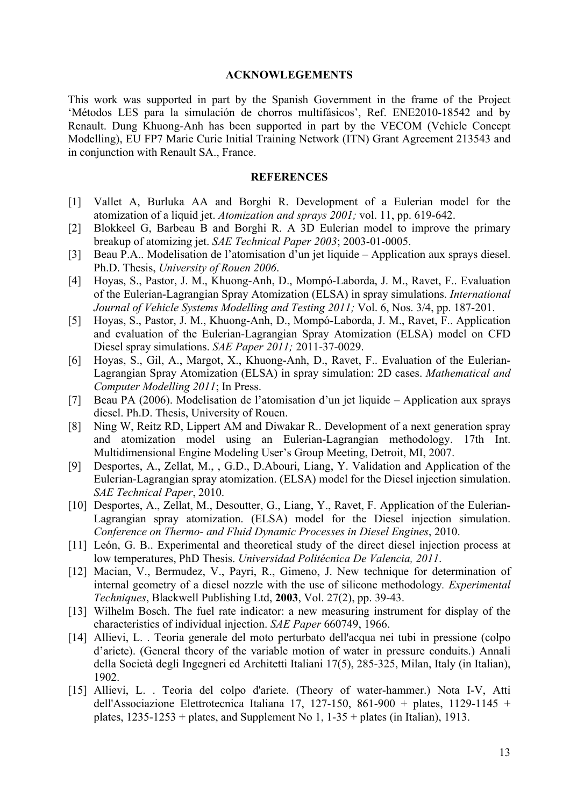### **ACKNOWLEGEMENTS**

This work was supported in part by the Spanish Government in the frame of the Project 'Métodos LES para la simulación de chorros multifásicos', Ref. ENE2010-18542 and by Renault. Dung Khuong-Anh has been supported in part by the VECOM (Vehicle Concept Modelling), EU FP7 Marie Curie Initial Training Network (ITN) Grant Agreement 213543 and in conjunction with Renault SA., France.

### **REFERENCES**

- [1] Vallet A, Burluka AA and Borghi R. Development of a Eulerian model for the atomization of a liquid jet. *Atomization and sprays 2001;* vol. 11, pp. 619-642.
- [2] Blokkeel G, Barbeau B and Borghi R. A 3D Eulerian model to improve the primary breakup of atomizing jet. *SAE Technical Paper 2003*; 2003-01-0005.
- [3] Beau P.A.. Modelisation de l'atomisation d'un jet liquide Application aux sprays diesel. Ph.D. Thesis, *University of Rouen 2006*.
- [4] Hoyas, S., Pastor, J. M., Khuong-Anh, D., Mompó-Laborda, J. M., Ravet, F.. Evaluation of the Eulerian-Lagrangian Spray Atomization (ELSA) in spray simulations. *International Journal of Vehicle Systems Modelling and Testing 2011;* Vol. 6, Nos. 3/4, pp. 187-201.
- [5] Hoyas, S., Pastor, J. M., Khuong-Anh, D., Mompó-Laborda, J. M., Ravet, F.. Application and evaluation of the Eulerian-Lagrangian Spray Atomization (ELSA) model on CFD Diesel spray simulations. *SAE Paper 2011;* 2011-37-0029.
- [6] Hoyas, S., Gil, A., Margot, X., Khuong-Anh, D., Ravet, F.. Evaluation of the Eulerian-Lagrangian Spray Atomization (ELSA) in spray simulation: 2D cases. *Mathematical and Computer Modelling 2011*; In Press.
- [7] Beau PA (2006). Modelisation de l'atomisation d'un jet liquide Application aux sprays diesel. Ph.D. Thesis, University of Rouen.
- [8] Ning W, Reitz RD, Lippert AM and Diwakar R.. Development of a next generation spray and atomization model using an Eulerian-Lagrangian methodology. 17th Int. Multidimensional Engine Modeling User's Group Meeting, Detroit, MI, 2007.
- [9] Desportes, A., Zellat, M., , G.D., D.Abouri, Liang, Y. Validation and Application of the Eulerian-Lagrangian spray atomization. (ELSA) model for the Diesel injection simulation. *SAE Technical Paper*, 2010.
- [10] Desportes, A., Zellat, M., Desoutter, G., Liang, Y., Ravet, F. Application of the Eulerian-Lagrangian spray atomization. (ELSA) model for the Diesel injection simulation. *Conference on Thermo- and Fluid Dynamic Processes in Diesel Engines*, 2010.
- [11] León, G. B., Experimental and theoretical study of the direct diesel injection process at low temperatures, PhD Thesis. *Universidad Politécnica De Valencia, 2011*.
- [12] Macian, V., Bermudez, V., Payri, R., Gimeno, J. New technique for determination of internal geometry of a diesel nozzle with the use of silicone methodology*. Experimental Techniques*, Blackwell Publishing Ltd, **2003**, Vol. 27(2), pp. 39-43.
- [13] Wilhelm Bosch. The fuel rate indicator: a new measuring instrument for display of the characteristics of individual injection. *SAE Paper* 660749, 1966.
- [14] Allievi, L. . Teoria generale del moto perturbato dell'acqua nei tubi in pressione (colpo d'ariete). (General theory of the variable motion of water in pressure conduits.) Annali della Società degli Ingegneri ed Architetti Italiani 17(5), 285-325, Milan, Italy (in Italian), 1902.
- [15] Allievi, L. . Teoria del colpo d'ariete. (Theory of water-hammer.) Nota I-V, Atti dell'Associazione Elettrotecnica Italiana 17, 127-150, 861-900 + plates, 1129-1145 + plates,  $1235-1253 +$  plates, and Supplement No 1,  $1-35 +$  plates (in Italian), 1913.